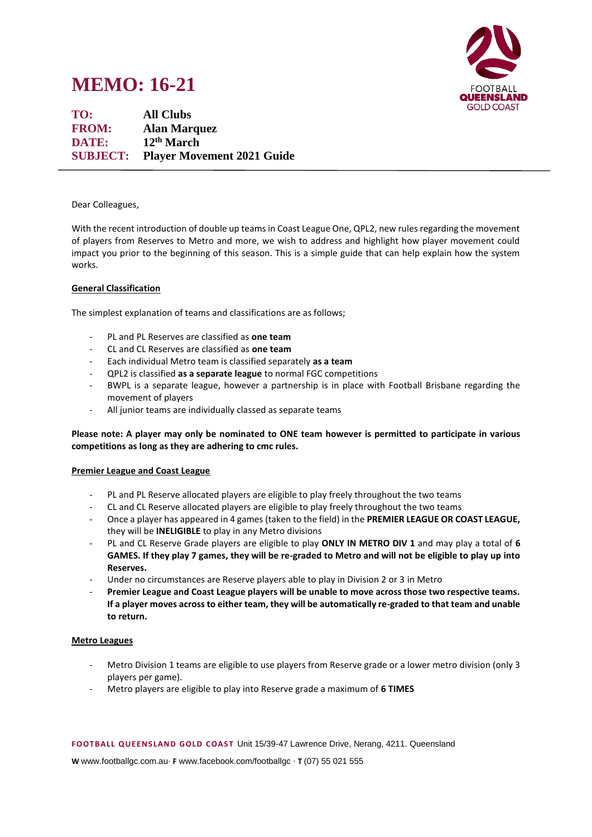# **MEMO: 16-21**



**TO: All Clubs FROM: Alan Marquez DATE: 12th March SUBJECT: Player Movement 2021 Guide**

### Dear Colleagues,

With the recent introduction of double up teams in Coast League One, QPL2, new rules regarding the movement of players from Reserves to Metro and more, we wish to address and highlight how player movement could impact you prior to the beginning of this season. This is a simple guide that can help explain how the system works.

# **General Classification**

The simplest explanation of teams and classifications are as follows;

- PL and PL Reserves are classified as **one team**
- CL and CL Reserves are classified as **one team**
- Each individual Metro team is classified separately **as a team**
- QPL2 is classified **as a separate league** to normal FGC competitions
- BWPL is a separate league, however a partnership is in place with Football Brisbane regarding the movement of players
- All junior teams are individually classed as separate teams

# **Please note: A player may only be nominated to ONE team however is permitted to participate in various competitions as long as they are adhering to cmc rules.**

#### **Premier League and Coast League**

- PL and PL Reserve allocated players are eligible to play freely throughout the two teams
- CL and CL Reserve allocated players are eligible to play freely throughout the two teams
- Once a player has appeared in 4 games (taken to the field) in the **PREMIER LEAGUE OR COAST LEAGUE,** they will be **INELIGIBLE** to play in any Metro divisions
- PL and CL Reserve Grade players are eligible to play **ONLY IN METRO DIV 1** and may play a total of **6 GAMES. If they play 7 games, they will be re-graded to Metro and will not be eligible to play up into Reserves.**
- Under no circumstances are Reserve players able to play in Division 2 or 3 in Metro
- Premier League and Coast League players will be unable to move across those two respective teams. **If a player moves across to either team, they will be automatically re-graded to that team and unable to return.**

#### **Metro Leagues**

- Metro Division 1 teams are eligible to use players from Reserve grade or a lower metro division (only 3 players per game).
- Metro players are eligible to play into Reserve grade a maximum of **6 TIMES**

**F OOTB ALL Q UE EN S LAN D GOLD C OAS T** Unit 15/39-47 Lawrence Drive, Nerang, 4211. Queensland

**W** www.footballgc.com.au. **F** www.facebook.com/footballgc . **T** (07) 55 021 555